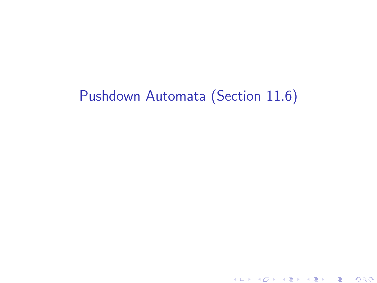# Pushdown Automata (Section 11.6)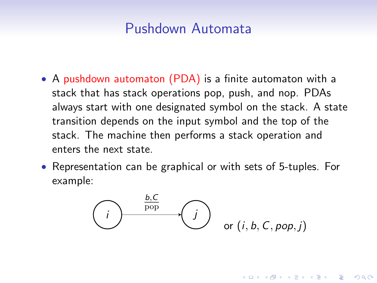## Pushdown Automata

- A pushdown automaton (PDA) is a finite automaton with a stack that has stack operations pop, push, and nop. PDAs always start with one designated symbol on the stack. A state transition depends on the input symbol and the top of the stack. The machine then performs a stack operation and enters the next state.
- Representation can be graphical or with sets of 5-tuples. For example:

$$
\overbrace{\hspace{1.5cm}}^{b,C} \overbrace{\hspace{1.5cm}}^{j}
$$
 or  $(i, b, C, pop, j)$ 

**KORKAR KERKER E VOOR**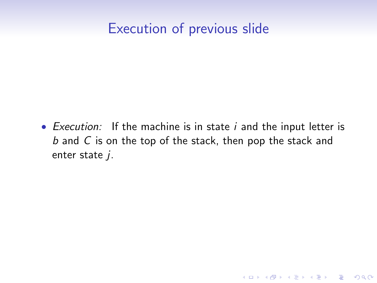# Execution of previous slide

• Execution: If the machine is in state  $i$  and the input letter is b and C is on the top of the stack, then pop the stack and enter state  $j$ .

K ロ ▶ K @ ▶ K 할 > K 할 > 1 할 > 1 이익어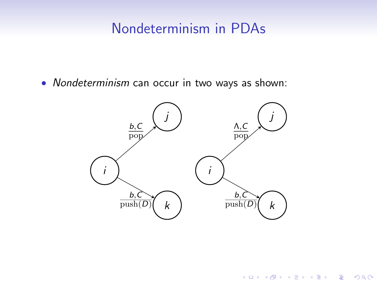# Nondeterminism in PDAs

• Nondeterminism can occur in two ways as shown:



K ロ ▶ K @ ▶ K 할 ▶ K 할 ▶ | 할 | © 9 Q @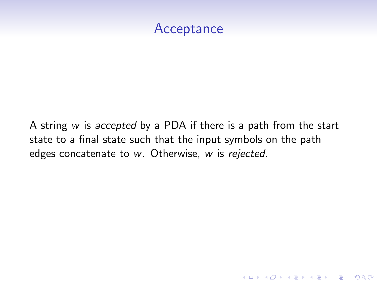## **Acceptance**

A string w is accepted by a PDA if there is a path from the start state to a final state such that the input symbols on the path edges concatenate to w. Otherwise, w is rejected.

**KORKA SERKER ORA**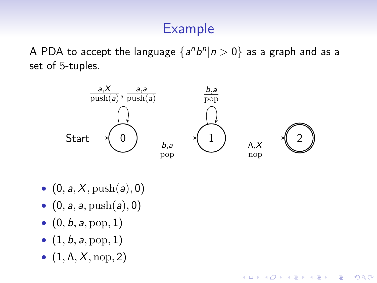# Example

A PDA to accept the language  $\{a^n b^n | n > 0\}$  as a graph and as a set of 5-tuples.



**KORK ERKER ADE YOUR** 

- $(0, a, X, \text{push}(a), 0)$
- $(0, a, a, \text{push}(a), 0)$
- $(0, b, a, \text{pop}, 1)$
- $(1, b, a, \text{pop}, 1)$
- $\bullet$   $(1, \Lambda, X, \text{nop}, 2)$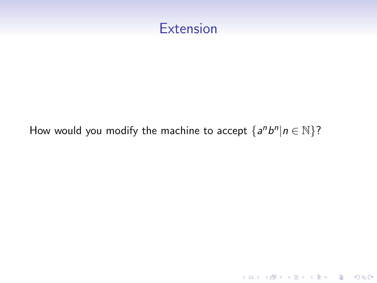

#### How would you modify the machine to accept  $\{a^n b^n | n \in \mathbb{N}\}$ ?

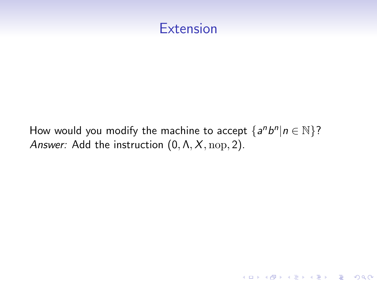

How would you modify the machine to accept  $\{a^n b^n | n \in \mathbb{N}\}$ ? Answer: Add the instruction  $(0, \Lambda, X, \text{nop}, 2)$ .

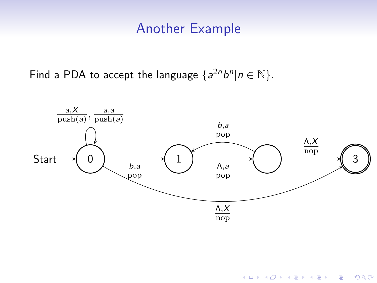### Another Example

Find a PDA to accept the language  $\{a^{2n}b^n|n \in \mathbb{N}\}.$ 



K ロ > K @ > K 할 > K 할 > 1 할 : ⊙ Q Q^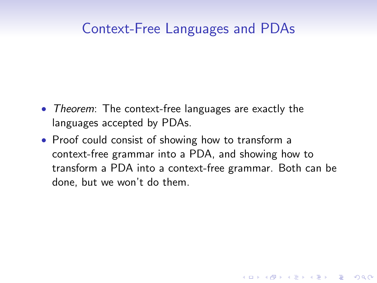## Context-Free Languages and PDAs

- Theorem: The context-free languages are exactly the languages accepted by PDAs.
- Proof could consist of showing how to transform a context-free grammar into a PDA, and showing how to transform a PDA into a context-free grammar. Both can be done, but we won't do them.

**KORKA SERKER ORA**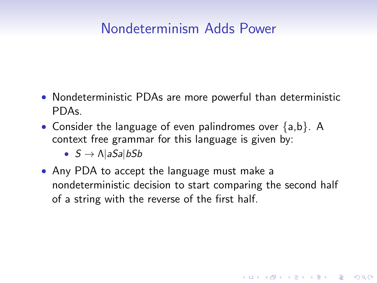# Nondeterminism Adds Power

- Nondeterministic PDAs are more powerful than deterministic PDAs.
- Consider the language of even palindromes over  ${a,b}$ . A context free grammar for this language is given by:
	- $S \rightarrow \Lambda |aSa|bSb$
- Any PDA to accept the language must make a nondeterministic decision to start comparing the second half of a string with the reverse of the first half.

**KORK ERKER ADE YOUR**